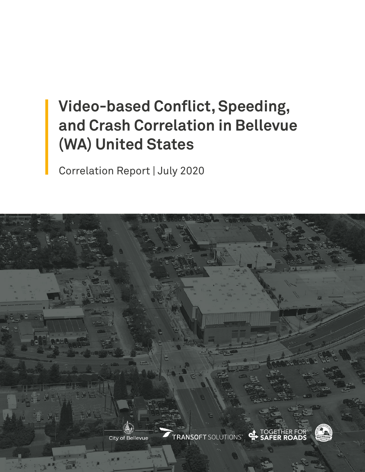# **Video-based Conflict, Speeding, and Crash Correlation in Bellevue (WA) United States**

Correlation Report | July 2020

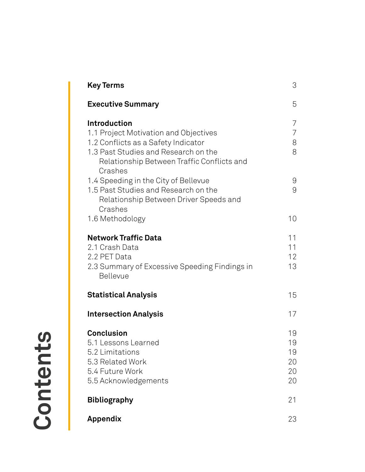| Key Terms                                                                                                                                                                                            | 3                                |
|------------------------------------------------------------------------------------------------------------------------------------------------------------------------------------------------------|----------------------------------|
| <b>Executive Summary</b>                                                                                                                                                                             | 5                                |
| <b>Introduction</b><br>1.1 Project Motivation and Objectives<br>1.2 Conflicts as a Safety Indicator<br>1.3 Past Studies and Research on the<br>Relationship Between Traffic Conflicts and<br>Crashes | 7<br>7<br>8<br>8                 |
| 1.4 Speeding in the City of Bellevue<br>1.5 Past Studies and Research on the<br>Relationship Between Driver Speeds and<br>Crashes                                                                    | $\Theta$<br>$\Theta$             |
| 1.6 Methodology                                                                                                                                                                                      | 10                               |
| <b>Network Traffic Data</b><br>2.1 Crash Data<br>2.2 PET Data<br>2.3 Summary of Excessive Speeding Findings in<br>Bellevue                                                                           | 11<br>11<br>12<br>13             |
| <b>Statistical Analysis</b>                                                                                                                                                                          | 15                               |
| <b>Intersection Analysis</b>                                                                                                                                                                         | 17                               |
| <b>Conclusion</b><br>5.1 Lessons Learned<br>5.2 Limitations<br>5.3 Related Work<br>5.4 Future Work<br>5.5 Acknowledgements                                                                           | 19<br>19<br>19<br>20<br>20<br>20 |
| <b>Bibliography</b>                                                                                                                                                                                  | 21                               |
| <b>Appendix</b>                                                                                                                                                                                      | 23                               |

Contents **Contents**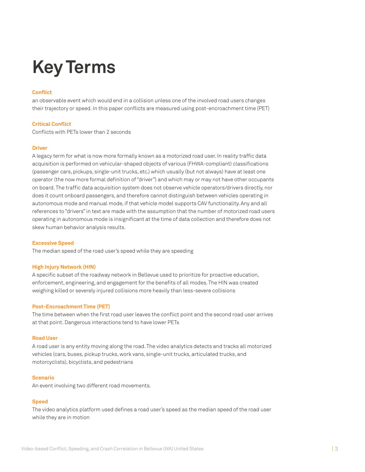# **Key Terms**

#### **Conflict**

an observable event which would end in a collision unless one of the involved road users changes their trajectory or speed. In this paper conflicts are measured using post-encroachment time (PET)

#### **Critical Conflict**

Conflicts with PETs lower than 2 seconds

#### **Driver**

A legacy term for what is now more formally known as a motorized road user. In reality traffic data acquisition is performed on vehicular-shaped objects of various (FHWA-compliant) classifications (passenger cars, pickups, single-unit trucks, etc.) which usually (but not always) have at least one operator (the now more formal definition of "driver") and which may or may not have other occupants on board. The traffic data acquisition system does not observe vehicle operators/drivers directly, nor does it count onboard passengers, and therefore cannot distinguish between vehicles operating in autonomous mode and manual mode, if that vehicle model supports CAV functionality. Any and all references to "drivers" in text are made with the assumption that the number of motorized road users operating in autonomous mode is insignificant at the time of data collection and therefore does not skew human behavior analysis results.

#### **Excessive Speed**

The median speed of the road user's speed while they are speeding

#### **High Injury Network (HIN)**

A specific subset of the roadway network in Bellevue used to prioritize for proactive education, enforcement, engineering, and engagement for the benefits of all modes. The HIN was created weighing killed or severely injured collisions more heavily than less-severe collisions

#### **Post-Encroachment Time (PET)**

The time between when the first road user leaves the conflict point and the second road user arrives at that point. Dangerous interactions tend to have lower PETs

#### **Road User**

A road user is any entity moving along the road. The video analytics detects and tracks all motorized vehicles (cars, buses, pickup trucks, work vans, single-unit trucks, articulated trucks, and motorcyclists), bicyclists, and pedestrians

#### **Scenario**

An event involving two different road movements.

#### **Speed**

The video analytics platform used defines a road user's speed as the median speed of the road user while they are in motion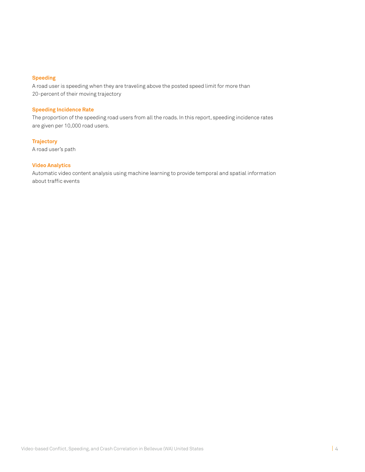#### **Speeding**

A road user is speeding when they are traveling above the posted speed limit for more than 20-percent of their moving trajectory

#### **Speeding Incidence Rate**

The proportion of the speeding road users from all the roads. In this report, speeding incidence rates are given per 10,000 road users.

**Trajectory**  A road user's path

#### **Video Analytics**

Automatic video content analysis using machine learning to provide temporal and spatial information about traffic events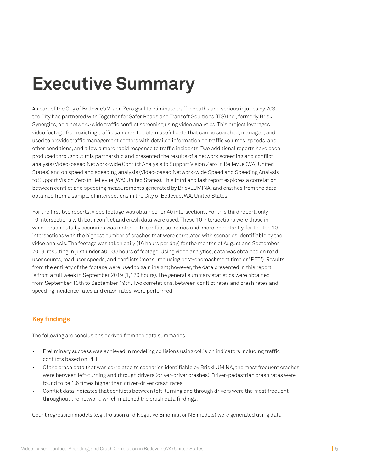# **Executive Summary**

As part of the City of Bellevue's Vision Zero goal to eliminate traffic deaths and serious injuries by 2030, the City has partnered with Together for Safer Roads and Transoft Solutions (ITS) Inc., formerly Brisk Synergies, on a network-wide traffic conflict screening using video analytics. This project leverages video footage from existing traffic cameras to obtain useful data that can be searched, managed, and used to provide traffic management centers with detailed information on traffic volumes, speeds, and other conditions, and allow a more rapid response to traffic incidents. Two additional reports have been produced throughout this partnership and presented the results of a network screening and conflict analysis (Video-based Network-wide Conflict Analysis to Support Vision Zero in Bellevue (WA) United States) and on speed and speeding analysis (Video-based Network-wide Speed and Speeding Analysis to Support Vision Zero in Bellevue (WA) United States). This third and last report explores a correlation between conflict and speeding measurements generated by BriskLUMINA, and crashes from the data obtained from a sample of intersections in the City of Bellevue, WA, United States.

For the first two reports, video footage was obtained for 40 intersections. For this third report, only 10 intersections with both conflict and crash data were used. These 10 intersections were those in which crash data by scenarios was matched to conflict scenarios and, more importantly, for the top 10 intersections with the highest number of crashes that were correlated with scenarios identifiable by the video analysis. The footage was taken daily (16 hours per day) for the months of August and September 2019, resulting in just under 40,000 hours of footage. Using video analytics, data was obtained on road user counts, road user speeds, and conflicts (measured using post-encroachment time or "PET"). Results from the entirety of the footage were used to gain insight; however, the data presented in this report is from a full week in September 2019 (1,120 hours). The general summary statistics were obtained from September 13th to September 19th. Two correlations, between conflict rates and crash rates and speeding incidence rates and crash rates, were performed.

## **Key findings**

The following are conclusions derived from the data summaries:

- Preliminary success was achieved in modeling collisions using collision indicators including traffic conflicts based on PET.
- Of the crash data that was correlated to scenarios identifiable by BriskLUMINA, the most frequent crashes were between left-turning and through drivers (driver-driver crashes). Driver-pedestrian crash rates were found to be 1.6 times higher than driver-driver crash rates.
- Conflict data indicates that conflicts between left-turning and through drivers were the most frequent throughout the network, which matched the crash data findings.

Count regression models (e.g., Poisson and Negative Binomial or NB models) were generated using data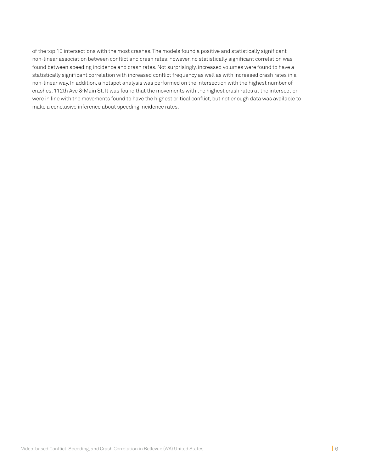of the top 10 intersections with the most crashes. The models found a positive and statistically significant non-linear association between conflict and crash rates; however, no statistically significant correlation was found between speeding incidence and crash rates. Not surprisingly, increased volumes were found to have a statistically significant correlation with increased conflict frequency as well as with increased crash rates in a non-linear way. In addition, a hotspot analysis was performed on the intersection with the highest number of crashes, 112th Ave & Main St. It was found that the movements with the highest crash rates at the intersection were in line with the movements found to have the highest critical conflict, but not enough data was available to make a conclusive inference about speeding incidence rates.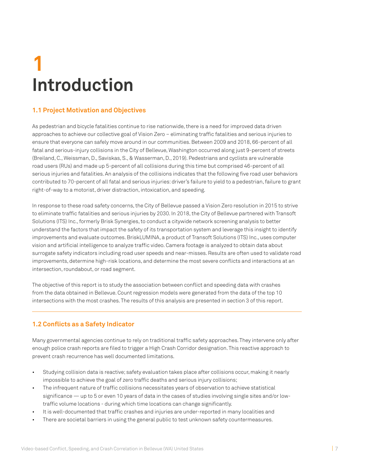# **Introduction 1**

# **1.1 Project Motivation and Objectives**

As pedestrian and bicycle fatalities continue to rise nationwide, there is a need for improved data driven approaches to achieve our collective goal of Vision Zero – eliminating traffic fatalities and serious injuries to ensure that everyone can safely move around in our communities. Between 2009 and 2018, 66-percent of all fatal and serious-injury collisions in the City of Bellevue, Washington occurred along just 9-percent of streets (Breiland, C., Weissman, D., Saviskas, S., & Wasserman, D., 2019). Pedestrians and cyclists are vulnerable road users (RUs) and made up 5-percent of all collisions during this time but comprised 46-percent of all serious injuries and fatalities. An analysis of the collisions indicates that the following five road user behaviors contributed to 70-percent of all fatal and serious injuries: driver's failure to yield to a pedestrian, failure to grant right-of-way to a motorist, driver distraction, intoxication, and speeding.

In response to these road safety concerns, the City of Bellevue passed a Vision Zero resolution in 2015 to strive to eliminate traffic fatalities and serious injuries by 2030. In 2018, the City of Bellevue partnered with Transoft Solutions (ITS) Inc., formerly Brisk Synergies, to conduct a citywide network screening analysis to better understand the factors that impact the safety of its transportation system and leverage this insight to identify improvements and evaluate outcomes. BriskLUMINA, a product of Transoft Solutions (ITS) Inc., uses computer vision and artificial intelligence to analyze traffic video. Camera footage is analyzed to obtain data about surrogate safety indicators including road user speeds and near-misses. Results are often used to validate road improvements, determine high-risk locations, and determine the most severe conflicts and interactions at an intersection, roundabout, or road segment.

The objective of this report is to study the association between conflict and speeding data with crashes from the data obtained in Bellevue. Count regression models were generated from the data of the top 10 intersections with the most crashes. The results of this analysis are presented in section 3 of this report.

## **1.2 Conflicts as a Safety Indicator**

Many governmental agencies continue to rely on traditional traffic safety approaches. They intervene only after enough police crash reports are filed to trigger a High Crash Corridor designation. This reactive approach to prevent crash recurrence has well documented limitations.

- Studying collision data is reactive; safety evaluation takes place after collisions occur, making it nearly impossible to achieve the goal of zero traffic deaths and serious injury collisions;
- The infrequent nature of traffic collisions necessitates years of observation to achieve statistical significance — up to 5 or even 10 years of data in the cases of studies involving single sites and/or lowtraffic volume locations - during which time locations can change significantly.
- It is well-documented that traffic crashes and injuries are under-reported in many localities and
- There are societal barriers in using the general public to test unknown safety countermeasures.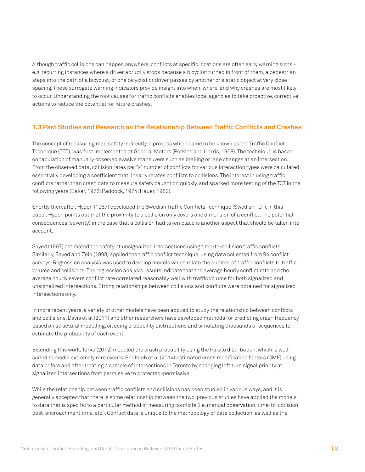Although traffic collisions can happen anywhere, conflicts at specific locations are often early warning signs e.g. recurring instances where a driver abruptly stops because a bicyclist turned in front of them, a pedestrian steps into the path of a bicyclist, or one bicyclist or driver passes by another or a static object at very close spacing. These surrogate warning indicators provide insight into when, where, and why crashes are most likely to occur. Understanding the root causes for traffic conflicts enables local agencies to take proactive, corrective actions to reduce the potential for future crashes.

### **1.3 Past Studies and Research on the Relationship Between Traffic Conflicts and Crashes**

The concept of measuring road safety indirectly, a process which came to be known as the Traffic Conflict Technique (TCT), was first implemented at General Motors (Perkins and Harris, 1968). The technique is based on tabulation of manually observed evasive maneuvers such as braking or lane changes at an intersection. From the observed data, collision rates per "x" number of conflicts for various interaction types were calculated, essentially developing a coefficient that linearly relates conflicts to collisions. The interest in using traffic conflicts rather than crash data to measure safety caught on quickly, and sparked more testing of the TCT in the following years (Baker, 1972; Paddock, 1974; Hauer, 1982).

Shortly thereafter, Hydén (1987) developed the Swedish Traffic Conflicts Technique (Swedish TCT). In this paper, Hydén points out that the proximity to a collision only covers one dimension of a conflict; The potential consequences (severity) in the case that a collision had taken place is another aspect that should be taken into account.

Sayed (1997) estimated the safety at unsignalized intersections using time-to-collision traffic conflicts. Similarly, Sayed and Zein (1998) applied the traffic conflict technique, using data collected from 94 conflict surveys. Regression analysis was used to develop models which relate the number of traffic conflicts to traffic volume and collisions. The regression analysis results indicate that the average hourly conflict rate and the average hourly severe conflict rate correlated reasonably well with traffic volume for both signalized and unsignalized intersections. Strong relationships between collisions and conflicts were obtained for signalized intersections only.

In more recent years, a variety of other models have been applied to study the relationship between conflicts and collisions. Davis et al (2011) and other researchers have developed methods for predicting crash frequency based on structural modelling, or, using probability distributions and simulating thousands of sequences to estimate the probability of each event.

Extending this work, Tarko (2012) modeled the crash probability using the Pareto distribution, which is wellsuited to model extremely rare events. Shahdah et al (2014) estimated crash modification factors (CMF) using data before and after treating a sample of intersections in Toronto by changing left turn signal priority at signalized intersections from permissive to protected-permissive.

While the relationship between traffic conflicts and collisions has been studied in various ways, and it is generally accepted that there is some relationship between the two, previous studies have applied the models to data that is specific to a particular method of measuring conflicts (i.e. manual observation, time-to-collision, post-encroachment time, etc.). Conflict data is unique to the methodology of data collection, as well as the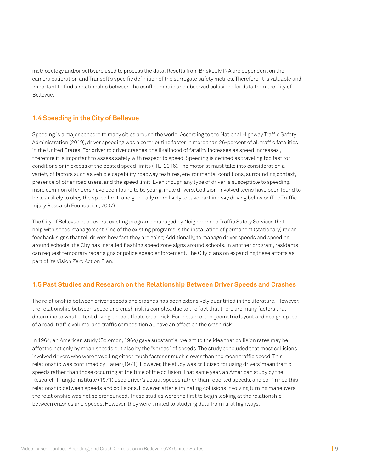methodology and/or software used to process the data. Results from BriskLUMINA are dependent on the camera calibration and Transoft's specific definition of the surrogate safety metrics. Therefore, it is valuable and important to find a relationship between the conflict metric and observed collisions for data from the City of Bellevue.

### **1.4 Speeding in the City of Bellevue**

Speeding is a major concern to many cities around the world. According to the National Highway Traffic Safety Administration (2019), driver speeding was a contributing factor in more than 26-percent of all traffic fatalities in the United States. For driver to driver crashes, the likelihood of fatality increases as speed increases , therefore it is important to assess safety with respect to speed. Speeding is defined as traveling too fast for conditions or in excess of the posted speed limits (ITE, 2016). The motorist must take into consideration a variety of factors such as vehicle capability, roadway features, environmental conditions, surrounding context, presence of other road users, and the speed limit. Even though any type of driver is susceptible to speeding, more common offenders have been found to be young, male drivers; Collision-involved teens have been found to be less likely to obey the speed limit, and generally more likely to take part in risky driving behavior (The Traffic Injury Research Foundation, 2007).

The City of Bellevue has several existing programs managed by Neighborhood Traffic Safety Services that help with speed management. One of the existing programs is the installation of permanent (stationary) radar feedback signs that tell drivers how fast they are going. Additionally, to manage driver speeds and speeding around schools, the City has installed flashing speed zone signs around schools. In another program, residents can request temporary radar signs or police speed enforcement. The City plans on expanding these efforts as part of its Vision Zero Action Plan.

### **1.5 Past Studies and Research on the Relationship Between Driver Speeds and Crashes**

The relationship between driver speeds and crashes has been extensively quantified in the literature. However, the relationship between speed and crash risk is complex, due to the fact that there are many factors that determine to what extent driving speed affects crash risk. For instance, the geometric layout and design speed of a road, traffic volume, and traffic composition all have an effect on the crash risk.

In 1964, an American study (Solomon, 1964) gave substantial weight to the idea that collision rates may be affected not only by mean speeds but also by the "spread" of speeds. The study concluded that most collisions involved drivers who were travelling either much faster or much slower than the mean traffic speed. This relationship was confirmed by Hauer (1971). However, the study was criticized for using drivers' mean traffic speeds rather than those occurring at the time of the collision. That same year, an American study by the Research Triangle Institute (1971) used driver's actual speeds rather than reported speeds, and confirmed this relationship between speeds and collisions. However, after eliminating collisions involving turning maneuvers, the relationship was not so pronounced. These studies were the first to begin looking at the relationship between crashes and speeds. However, they were limited to studying data from rural highways.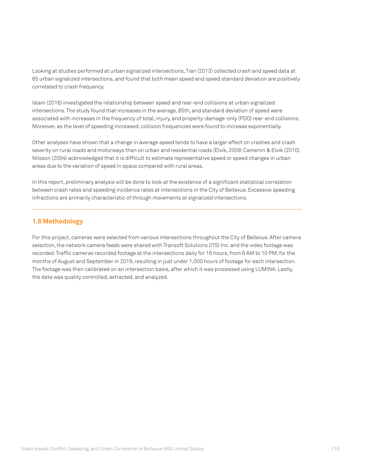Looking at studies performed at urban signalized intersections, Tian (2013) collected crash and speed data at 65 urban signalized intersections, and found that both mean speed and speed standard deviation are positively correlated to crash frequency.

Islam (2016) investigated the relationship between speed and rear-end collisions at urban signalized intersections. The study found that increases in the average, 85th, and standard deviation of speed were associated with increases in the frequency of total, injury, and property-damage-only (PDO) rear-end collisions. Moreover, as the level of speeding increased, collision frequencies were found to increase exponentially.

Other analyses have shown that a change in average speed tends to have a larger effect on crashes and crash severity on rural roads and motorways than on urban and residential roads (Elvik, 2009; Cameron & Elvik (2010). Nilsson (2004) acknowledged that it is difficult to estimate representative speed or speed changes in urban areas due to the variation of speed in space compared with rural areas.

In this report, preliminary analysis will be done to look at the existence of a significant statistical correlation between crash rates and speeding incidence rates at intersections in the City of Bellevue. Excessive speeding infractions are primarily characteristic of through movements at signalized intersections.

### **1.6 Methodology**

For this project, cameras were selected from various intersections throughout the City of Bellevue. After camera selection, the network camera feeds were shared with Transoft Solutions (ITS) Inc. and the video footage was recorded. Traffic cameras recorded footage at the intersections daily for 16 hours, from 6 AM to 10 PM, for the months of August and September in 2019, resulting in just under 1,000 hours of footage for each intersection. The footage was then calibrated on an intersection basis, after which it was processed using LUMINA. Lastly, the data was quality controlled, extracted, and analyzed.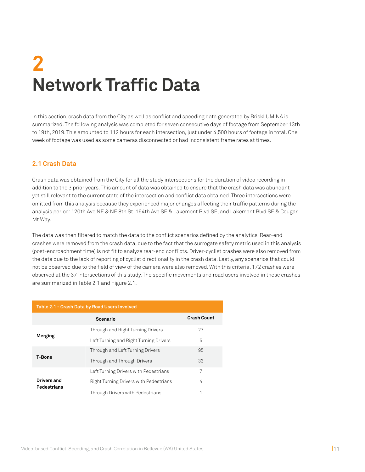# **Network Traffic Data 2**

In this section, crash data from the City as well as conflict and speeding data generated by BriskLUMINA is summarized. The following analysis was completed for seven consecutive days of footage from September 13th to 19th, 2019. This amounted to 112 hours for each intersection, just under 4,500 hours of footage in total. One week of footage was used as some cameras disconnected or had inconsistent frame rates at times.

### **2.1 Crash Data**

Crash data was obtained from the City for all the study intersections for the duration of video recording in addition to the 3 prior years. This amount of data was obtained to ensure that the crash data was abundant yet still relevant to the current state of the intersection and conflict data obtained. Three intersections were omitted from this analysis because they experienced major changes affecting their traffic patterns during the analysis period: 120th Ave NE & NE 8th St, 164th Ave SE & Lakemont Blvd SE, and Lakemont Blvd SE & Cougar Mt Way.

The data was then filtered to match the data to the conflict scenarios defined by the analytics. Rear-end crashes were removed from the crash data, due to the fact that the surrogate safety metric used in this analysis (post-encroachment time) is not fit to analyze rear-end conflicts. Driver-cyclist crashes were also removed from the data due to the lack of reporting of cyclist directionality in the crash data. Lastly, any scenarios that could not be observed due to the field of view of the camera were also removed. With this criteria, 172 crashes were observed at the 37 intersections of this study. The specific movements and road users involved in these crashes are summarized in Table 2.1 and Figure 2.1.

| Table 2.1 - Crash Data by Road Users Involved |                                        |                    |  |  |  |  |
|-----------------------------------------------|----------------------------------------|--------------------|--|--|--|--|
|                                               | Scenario                               | <b>Crash Count</b> |  |  |  |  |
|                                               | Through and Right Turning Drivers      | 27                 |  |  |  |  |
| Merging                                       | Left Turning and Right Turning Drivers | 5                  |  |  |  |  |
|                                               | Through and Left Turning Drivers       | 95                 |  |  |  |  |
| T-Bone                                        | Through and Through Drivers            | 33                 |  |  |  |  |
|                                               | Left Turning Drivers with Pedestrians  | 7                  |  |  |  |  |
| Drivers and<br><b>Pedestrians</b>             | Right Turning Drivers with Pedestrians | 4                  |  |  |  |  |
|                                               | Through Drivers with Pedestrians       | ۸                  |  |  |  |  |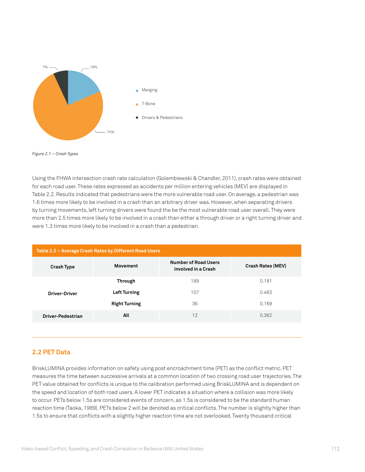



Using the FHWA intersection crash rate calculation (Golembiewski & Chandler, 2011), crash rates were obtained for each road user. These rates expressed as accidents per million entering vehicles (MEV) are displayed in Table 2.2. Results indicated that pedestrians were the more vulnerable road user. On average, a pedestrian was 1.6 times more likely to be involved in a crash than an arbitrary driver was. However, when separating drivers by turning movements, left turning drivers were found the be the most vulnerable road user overall. They were more than 2.5 times more likely to be involved in a crash than either a through driver or a right turning driver and were 1.3 times more likely to be involved in a crash than a pedestrian.

| Table 2.2 - Average Crash Rates by Different Road Users |                      |                                                    |                          |  |  |  |  |
|---------------------------------------------------------|----------------------|----------------------------------------------------|--------------------------|--|--|--|--|
| <b>Crash Type</b>                                       | Movement             | <b>Number of Road Users</b><br>involved in a Crash | <b>Crash Rates (MEV)</b> |  |  |  |  |
| <b>Driver-Driver</b>                                    | <b>Through</b>       | 189                                                | 0.181                    |  |  |  |  |
|                                                         | <b>Left Turning</b>  | 107                                                | 0.463                    |  |  |  |  |
|                                                         | <b>Right Turning</b> | 36                                                 | 0.169                    |  |  |  |  |
| Driver-Pedestrian                                       | All                  | 12                                                 | 0.362                    |  |  |  |  |
|                                                         |                      |                                                    |                          |  |  |  |  |

### **2.2 PET Data**

BriskLUMINA provides information on safety using post encroachment time (PET) as the conflict metric. PET measures the time between successive arrivals at a common location of two crossing road user trajectories. The PET value obtained for conflicts is unique to the calibration performed using BriskLUMINA and is dependent on the speed and location of both road users. A lower PET indicates a situation where a collision was more likely to occur. PETs below 1.5s are considered events of concern, as 1.5s is considered to be the standard human reaction time (Taoka, 1989). PETs below 2 will be denoted as critical conflicts. The number is slightly higher than 1.5s to ensure that conflicts with a slightly higher reaction time are not overlooked. Twenty thousand critical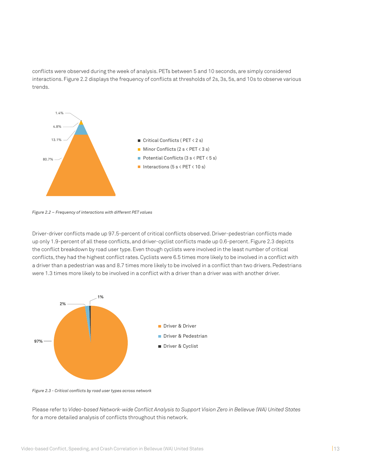conflicts were observed during the week of analysis. PETs between 5 and 10 seconds, are simply considered interactions. Figure 2.2 displays the frequency of conflicts at thresholds of 2s, 3s, 5s, and 10s to observe various trends.



*Figure 2.2 – Frequency of interactions with different PET values*

Driver-driver conflicts made up 97.5-percent of critical conflicts observed. Driver-pedestrian conflicts made up only 1.9-percent of all these conflicts, and driver-cyclist conflicts made up 0.6-percent. Figure 2.3 depicts the conflict breakdown by road user type. Even though cyclists were involved in the least number of critical conflicts, they had the highest conflict rates. Cyclists were 6.5 times more likely to be involved in a conflict with a driver than a pedestrian was and 8.7 times more likely to be involved in a conflict than two drivers. Pedestrians **1%** were 1.3 times more likely to be involved in a conflict with a driver than a driver was with another driver.



**97%** *Figure 2.3 - Critical conflicts by road user types across network*

**97%** Please refer to *Video-based Network-wide Conflict Analysis to Support Vision Zero in Bellevue (WA) United States* for a more detailed analysis of conflicts throughout this network.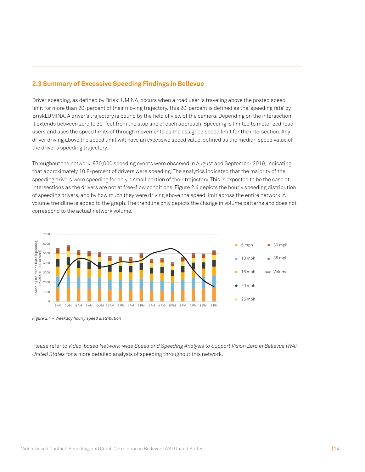### **2.3 Summary of Excessive Speeding Findings in Bellevue**

Driver speeding, as defined by BriskLUMINA, occurs when a road user is traveling above the posted speed limit for more than 20-percent of their moving trajectory. This 20-percent is defined as the 'speeding rate' by BriskLUMINA. A driver's trajectory is bound by the field of view of the camera. Depending on the intersection, it extends between zero to 30-feet from the stop line of each approach. Speeding is limited to motorized road users and uses the speed limits of through movements as the assigned speed limit for the intersection. Any driver driving above the speed limit will have an excessive speed value, defined as the median speed value of the driver's speeding trajectory.

Throughout the network, 870,000 speeding events were observed in August and September 2019, indicating that approximately 10.8-percent of drivers were speeding. The analytics indicated that the majority of the speeding drivers were speeding for only a small portion of their trajectory. This is expected to be the case at intersections as the drivers are not at free-flow conditions. Figure 2.4 depicts the hourly speeding distribution of speeding drivers, and by how much they were driving above the speed limit across the entire network. A volume trendline is added to the graph. The trendline only depicts the change in volume patterns and does not correspond to the actual network volume.



*Figure 2.4 – Weekday hourly speed distribution*

Please refer to *Video-based Network-wide Speed and Speeding Analysis to Support Vision Zero in Bellevue (WA), United States* for a more detailed analysis of speeding throughout this network.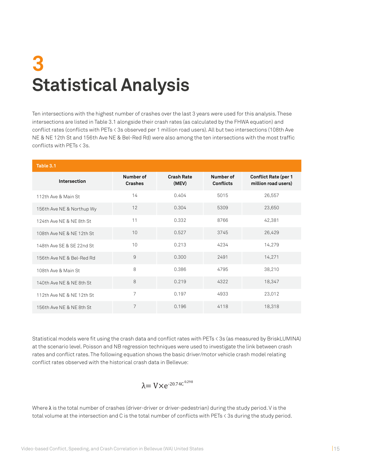# **Statistical Analysis 3**

Ten intersections with the highest number of crashes over the last 3 years were used for this analysis. These intersections are listed in Table 3.1 alongside their crash rates (as calculated by the FHWA equation) and conflict rates (conflicts with PETs < 3s observed per 1 million road users). All but two intersections (108th Ave NE & NE 12th St and 156th Ave NE & Bel-Red Rd) were also among the ten intersections with the most traffic conflicts with PETs < 3s.

| Table 3.1                 |                             |                            |                               |                                                    |
|---------------------------|-----------------------------|----------------------------|-------------------------------|----------------------------------------------------|
| Intersection              | Number of<br><b>Crashes</b> | <b>Crash Rate</b><br>(MEV) | Number of<br><b>Conflicts</b> | <b>Conflict Rate (per 1</b><br>million road users) |
| 112th Ave & Main St       | 14                          | 0.404                      | 5015                          | 26,557                                             |
| 156th Ave NE & Northup Wy | 12                          | 0.304                      | 5309                          | 23,650                                             |
| 124th Ave NE & NE 8th St  | 11                          | 0.332                      | 8766                          | 42,381                                             |
| 108th Ave NF & NF 12th St | 10                          | 0.527                      | 3745                          | 26,429                                             |
| 148th Ave SE & SE 22nd St | 10                          | 0.213                      | 4234                          | 14,279                                             |
| 156th Ave NE & Bel-Red Rd | $\overline{9}$              | 0.300                      | 2491                          | 14,271                                             |
| 108th Ave & Main St       | 8                           | 0.386                      | 4795                          | 38,210                                             |
| 140th Ave NE & NE 8th St  | 8                           | 0.219                      | 4322                          | 18,347                                             |
| 112th Ave NE & NE 12th St | $\overline{7}$              | 0.197                      | 4933                          | 23,012                                             |
| 156th Ave NF & NF 8th St  | 7                           | 0.196                      | 4118                          | 18,318                                             |

Statistical models were fit using the crash data and conflict rates with PETs < 3s (as measured by BriskLUMINA) at the scenario level. Poisson and NB regression techniques were used to investigate the link between crash rates and conflict rates. The following equation shows the basic driver/motor vehicle crash model relating conflict rates observed with the historical crash data in Bellevue:

$$
\lambda = V \times e^{-20.74 C^{0.298}}
$$

Where λ is the total number of crashes (driver-driver or driver-pedestrian) during the study period. V is the total volume at the intersection and C is the total number of conflicts with PETs < 3s during the study period.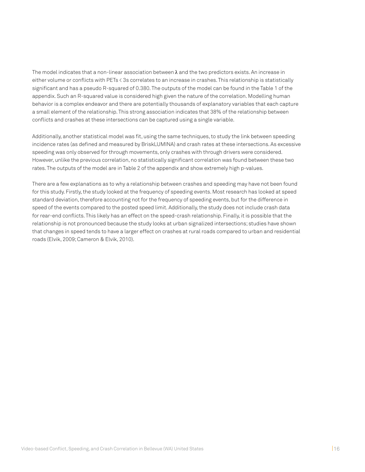The model indicates that a non-linear association between  $\lambda$  and the two predictors exists. An increase in either volume or conflicts with PETs < 3s correlates to an increase in crashes. This relationship is statistically significant and has a pseudo R-squared of 0.380. The outputs of the model can be found in the Table 1 of the appendix. Such an R-squared value is considered high given the nature of the correlation. Modelling human behavior is a complex endeavor and there are potentially thousands of explanatory variables that each capture a small element of the relationship. This strong association indicates that 38% of the relationship between conflicts and crashes at these intersections can be captured using a single variable.

Additionally, another statistical model was fit, using the same techniques, to study the link between speeding incidence rates (as defined and measured by BriskLUMINA) and crash rates at these intersections. As excessive speeding was only observed for through movements, only crashes with through drivers were considered. However, unlike the previous correlation, no statistically significant correlation was found between these two rates. The outputs of the model are in Table 2 of the appendix and show extremely high p-values.

There are a few explanations as to why a relationship between crashes and speeding may have not been found for this study. Firstly, the study looked at the frequency of speeding events. Most research has looked at speed standard deviation, therefore accounting not for the frequency of speeding events, but for the difference in speed of the events compared to the posted speed limit. Additionally, the study does not include crash data for rear-end conflicts. This likely has an effect on the speed-crash relationship. Finally, it is possible that the relationship is not pronounced because the study looks at urban signalized intersections; studies have shown that changes in speed tends to have a larger effect on crashes at rural roads compared to urban and residential roads (Elvik, 2009; Cameron & Elvik, 2010).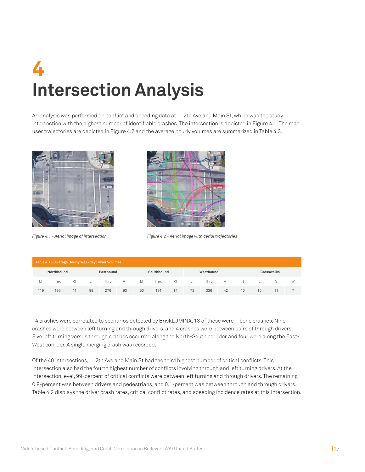# **Intersection Analysis 4**

An analysis was performed on conflict and speeding data at 112th Ave and Main St, which was the study intersection with the highest number of identifiable crashes. The intersection is depicted in Figure 4.1. The road user trajectories are depicted in Figure 4.2 and the average hourly volumes are summarized in Table 4.3.





*Figure 4.1 - Aerial image of intersection Figure 4.2 - Aerial image with aerial trajectories*

| Table 4.1 - Average Hourly Weekday Driver Volumes |            |           |              |           |           |        |            |     |           |           |     |                 |    |            |   |
|---------------------------------------------------|------------|-----------|--------------|-----------|-----------|--------|------------|-----|-----------|-----------|-----|-----------------|----|------------|---|
|                                                   | Northbound |           |              | Eastbound |           |        | Southbound |     |           | Westbound |     |                 |    | Crosswalks |   |
|                                                   | Thru       | <b>RT</b> | $\mathsf{I}$ | Thru      | <b>RT</b> | $\top$ | Thru       | RT. | $\perp$ T | Thru      | RT. | N.              | F. | S.         | W |
| 119                                               | 195        | 41        | 99           | 276       | 93        | 50     | 191        | 14  | 72        | 336       | 42  | 10 <sup>1</sup> | 10 |            |   |

14 crashes were correlated to scenarios detected by BriskLUMINA. 13 of these were T-bone crashes. Nine crashes were between left turning and through drivers, and 4 crashes were between pairs of through drivers. Five left turning versus through crashes occurred along the North-South corridor and four were along the East-West corridor. A single merging crash was recorded.

Of the 40 intersections, 112th Ave and Main St had the third highest number of critical conflicts. This intersection also had the fourth highest number of conflicts involving through and left turning drivers. At the intersection level, 99-percent of critical conflicts were between left turning and through drivers. The remaining 0.9-percent was between drivers and pedestrians, and 0.1-percent was between through and through drivers. Table 4.2 displays the driver crash rates, critical conflict rates, and speeding incidence rates at this intersection.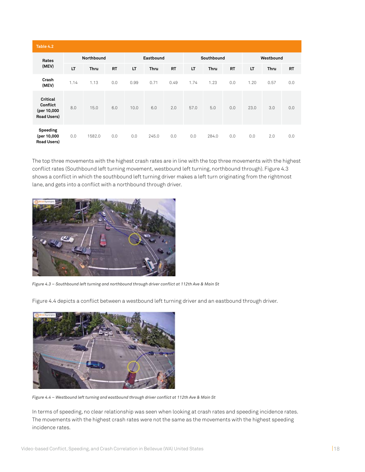| Table 4.2                                                        |            |        |           |      |             |            |      |       |           |      |             |           |
|------------------------------------------------------------------|------------|--------|-----------|------|-------------|------------|------|-------|-----------|------|-------------|-----------|
| Rates                                                            | Northbound |        | Eastbound |      |             | Southbound |      |       | Westbound |      |             |           |
| (MEV)                                                            | LT         | Thru   | <b>RT</b> | LT   | <b>Thru</b> | <b>RT</b>  | LT   | Thru  | <b>RT</b> | LT   | <b>Thru</b> | <b>RT</b> |
| Crash<br>(MEV)                                                   | 1.14       | 1.13   | 0.0       | 0.99 | 0.71        | 0.49       | 1.74 | 1.23  | 0.0       | 1.20 | 0.57        | 0.0       |
| <b>Critical</b><br>Conflict<br>(per 10,000<br><b>Road Users)</b> | 8.0        | 15.0   | 6.0       | 10.0 | 6.0         | 2.0        | 57.0 | 5.0   | 0.0       | 23.0 | 3.0         | 0.0       |
| Speeding<br>(per 10,000<br><b>Road Users)</b>                    | 0.0        | 1582.0 | 0.0       | 0.0  | 245.0       | 0.0        | 0.0  | 284.0 | 0.0       | 0.0  | 2.0         | 0.0       |

The top three movements with the highest crash rates are in line with the top three movements with the highest conflict rates (Southbound left turning movement, westbound left turning, northbound through). Figure 4.3 shows a conflict in which the southbound left turning driver makes a left turn originating from the rightmost lane, and gets into a conflict with a northbound through driver.



*Figure 4.3 – Southbound left turning and northbound through driver conflict at 112th Ave & Main St*

Figure 4.4 depicts a conflict between a westbound left turning driver and an eastbound through driver.



*Figure 4.4 – Westbound left turning and eastbound through driver conflict at 112th Ave & Main St*

In terms of speeding, no clear relationship was seen when looking at crash rates and speeding incidence rates. The movements with the highest crash rates were not the same as the movements with the highest speeding incidence rates.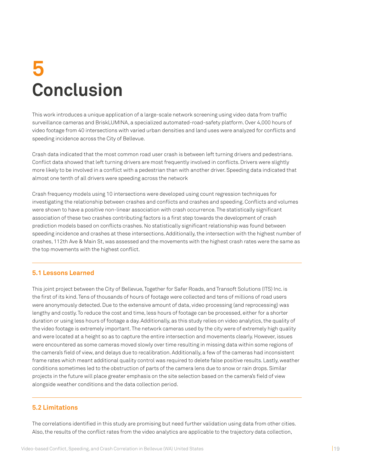# **Conclusion 5**

This work introduces a unique application of a large-scale network screening using video data from traffic surveillance cameras and BriskLUMINA, a specialized automated-road-safety platform. Over 4,000 hours of video footage from 40 intersections with varied urban densities and land uses were analyzed for conflicts and speeding incidence across the City of Bellevue.

Crash data indicated that the most common road user crash is between left turning drivers and pedestrians. Conflict data showed that left turning drivers are most frequently involved in conflicts. Drivers were slightly more likely to be involved in a conflict with a pedestrian than with another driver. Speeding data indicated that almost one tenth of all drivers were speeding across the network

Crash frequency models using 10 intersections were developed using count regression techniques for investigating the relationship between crashes and conflicts and crashes and speeding. Conflicts and volumes were shown to have a positive non-linear association with crash occurrence. The statistically significant association of these two crashes contributing factors is a first step towards the development of crash prediction models based on conflicts crashes. No statistically significant relationship was found between speeding incidence and crashes at these intersections. Additionally, the intersection with the highest number of crashes, 112th Ave & Main St, was assessed and the movements with the highest crash rates were the same as the top movements with the highest conflict.

### **5.1 Lessons Learned**

This joint project between the City of Bellevue, Together for Safer Roads, and Transoft Solutions (ITS) Inc. is the first of its kind. Tens of thousands of hours of footage were collected and tens of millions of road users were anonymously detected. Due to the extensive amount of data, video processing (and reprocessing) was lengthy and costly. To reduce the cost and time, less hours of footage can be processed, either for a shorter duration or using less hours of footage a day. Additionally, as this study relies on video analytics, the quality of the video footage is extremely important. The network cameras used by the city were of extremely high quality and were located at a height so as to capture the entire intersection and movements clearly. However, issues were encountered as some cameras moved slowly over time resulting in missing data within some regions of the camera's field of view, and delays due to recalibration. Additionally, a few of the cameras had inconsistent frame rates which meant additional quality control was required to delete false positive results. Lastly, weather conditions sometimes led to the obstruction of parts of the camera lens due to snow or rain drops. Similar projects in the future will place greater emphasis on the site selection based on the camera's field of view alongside weather conditions and the data collection period.

### **5.2 Limitations**

The correlations identified in this study are promising but need further validation using data from other cities. Also, the results of the conflict rates from the video analytics are applicable to the trajectory data collection,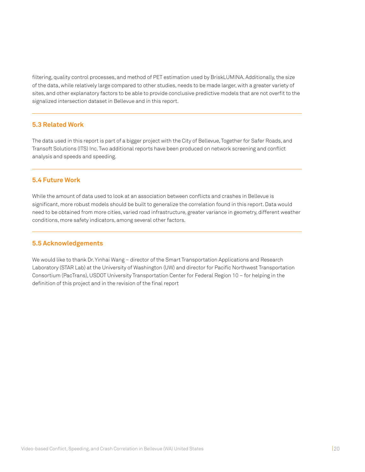filtering, quality control processes, and method of PET estimation used by BriskLUMINA. Additionally, the size of the data, while relatively large compared to other studies, needs to be made larger, with a greater variety of sites, and other explanatory factors to be able to provide conclusive predictive models that are not overfit to the signalized intersection dataset in Bellevue and in this report.

### **5.3 Related Work**

The data used in this report is part of a bigger project with the City of Bellevue, Together for Safer Roads, and Transoft Solutions (ITS) Inc. Two additional reports have been produced on network screening and conflict analysis and speeds and speeding.

#### **5.4 Future Work**

While the amount of data used to look at an association between conflicts and crashes in Bellevue is significant, more robust models should be built to generalize the correlation found in this report. Data would need to be obtained from more cities, varied road infrastructure, greater variance in geometry, different weather conditions, more safety indicators, among several other factors.

#### **5.5 Acknowledgements**

We would like to thank Dr. Yinhai Wang – director of the Smart Transportation Applications and Research Laboratory (STAR Lab) at the University of Washington (UW) and director for Pacific Northwest Transportation Consortium (PacTrans), USDOT University Transportation Center for Federal Region 10 – for helping in the definition of this project and in the revision of the final report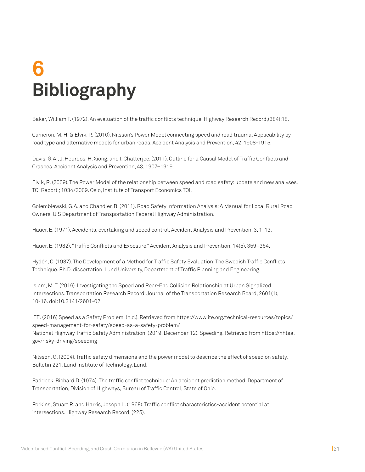# **Bibliography 6**

Baker, William T. (1972). An evaluation of the traffic conflicts technique. Highway Research Record,(384);18.

Cameron, M. H. & Elvik, R. (2010). Nilsson's Power Model connecting speed and road trauma: Applicability by road type and alternative models for urban roads. Accident Analysis and Prevention, 42, 1908-1915.

Davis, G.A., J. Hourdos, H. Xiong, and I. Chatterjee. (2011). Outline for a Causal Model of Traffic Conflicts and Crashes. Accident Analysis and Prevention, 43, 1907–1919.

Elvik, R. (2009). The Power Model of the relationship between speed and road safety: update and new analyses. TOI Report ; 1034/2009. Oslo, Institute of Transport Economics TOI.

Golembiewski, G.A. and Chandler, B. (2011). Road Safety Information Analysis: A Manual for Local Rural Road Owners. U.S Department of Transportation Federal Highway Administration.

Hauer, E. (1971). Accidents, overtaking and speed control. Accident Analysis and Prevention, 3, 1-13.

Hauer, E. (1982). "Traffic Conflicts and Exposure." Accident Analysis and Prevention, 14(5), 359–364.

Hydén, C. (1987). The Development of a Method for Traffic Safety Evaluation: The Swedish Traffic Conflicts Technique. Ph.D. dissertation. Lund University, Department of Traffic Planning and Engineering.

Islam, M. T. (2016). Investigating the Speed and Rear-End Collision Relationship at Urban Signalized Intersections. Transportation Research Record: Journal of the Transportation Research Board, 2601(1), 10-16. doi:10.3141/2601-02

ITE. (2016) Speed as a Safety Problem. (n.d.). Retrieved from https://www.ite.org/technical-resources/topics/ speed-management-for-safety/speed-as-a-safety-problem/ National Highway Traffic Safety Administration. (2019, December 12). Speeding. Retrieved from https://nhtsa. gov/risky-driving/speeding

Nilsson, G. (2004). Traffic safety dimensions and the power model to describe the effect of speed on safety. Bulletin 221, Lund Institute of Technology, Lund.

Paddock, Richard D. (1974). The traffic conflict technique: An accident prediction method. Department of Transportation, Division of Highways, Bureau of Traffic Control, State of Ohio.

Perkins, Stuart R. and Harris, Joseph L. (1968). Traffic conflict characteristics-accident potential at intersections. Highway Research Record, (225).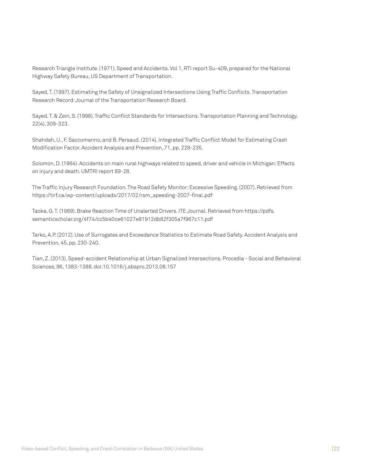Research Triangle Institute. (1971). Speed and Accidents. Vol 1, RTI report Su-409, prepared for the National Highway Safety Bureau, US Department of Transportation.

Sayed, T. (1997). Estimating the Safety of Unsignalized Intersections Using Traffic Conflicts. Transportation Research Record: Journal of the Transportation Research Board.

Sayed, T. & Zein, S. (1998). Traffic Conflict Standards for Intersections. Transportation Planning and Technology, 22(4), 309-323.

Shahdah, U., F. Saccomanno, and B. Persaud. (2014). Integrated Traffic Conflict Model for Estimating Crash Modification Factor. Accident Analysis and Prevention, 71, pp. 228-235.

Solomon, D. (1964). Accidents on main rural highways related to speed, driver and vehicle in Michigan: Effects on injury and death. UMTRI report 89-28.

The Traffic Injury Research Foundation. The Road Safety Monitor: Excessive Speeding. (2007). Retrieved from https://tirf.ca/wp-content/uploads/2017/02/rsm\_speeding-2007-final.pdf

Taoka, G. T. (1989). Brake Reaction Time of Unalerted Drivers. ITE Journal. Retrieved from https://pdfs. semanticscholar.org/4f74/cc5b40ce61027e81912db82f305a7f967c11.pdf

Tarko, A.P. (2012). Use of Surrogates and Exceedance Statistics to Estimate Road Safety. Accident Analysis and Prevention, 45, pp. 230-240.

Tian, Z. (2013). Speed-accident Relationship at Urban Signalized Intersections. Procedia - Social and Behavioral Sciences, 96, 1383-1388. doi:10.1016/j.sbspro.2013.08.157